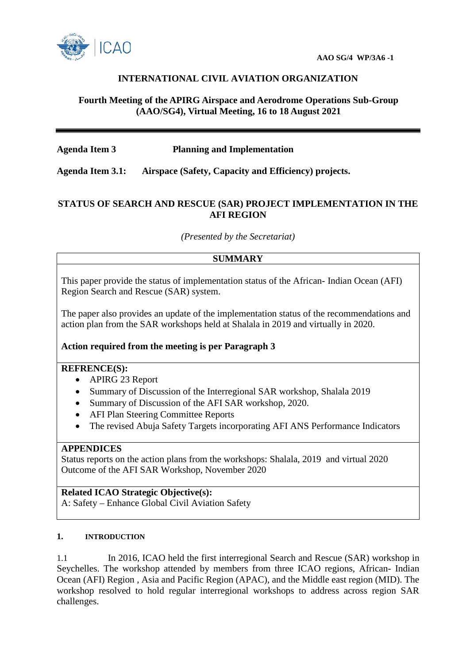

## **INTERNATIONAL CIVIL AVIATION ORGANIZATION**

## **Fourth Meeting of the APIRG Airspace and Aerodrome Operations Sub-Group (AAO/SG4), Virtual Meeting, 16 to 18 August 2021**

## **Agenda Item 3 Planning and Implementation**

**Agenda Item 3.1: Airspace (Safety, Capacity and Efficiency) projects.**

## **STATUS OF SEARCH AND RESCUE (SAR) PROJECT IMPLEMENTATION IN THE AFI REGION**

*(Presented by the Secretariat)*

## **SUMMARY**

This paper provide the status of implementation status of the African- Indian Ocean (AFI) Region Search and Rescue (SAR) system.

The paper also provides an update of the implementation status of the recommendations and action plan from the SAR workshops held at Shalala in 2019 and virtually in 2020.

#### **Action required from the meeting is per Paragraph 3**

#### **REFRENCE(S):**

- APIRG 23 Report
- Summary of Discussion of the Interregional SAR workshop, Shalala 2019
- Summary of Discussion of the AFI SAR workshop, 2020.
- AFI Plan Steering Committee Reports
- The revised Abuja Safety Targets incorporating AFI ANS Performance Indicators

#### **APPENDICES**

Status reports on the action plans from the workshops: Shalala, 2019 and virtual 2020 Outcome of the AFI SAR Workshop, November 2020

## **Related ICAO Strategic Objective(s):**

A: Safety – Enhance Global Civil Aviation Safety

#### **1. INTRODUCTION**

1.1 In 2016, ICAO held the first interregional Search and Rescue (SAR) workshop in Seychelles. The workshop attended by members from three ICAO regions, African- Indian Ocean (AFI) Region , Asia and Pacific Region (APAC), and the Middle east region (MID). The workshop resolved to hold regular interregional workshops to address across region SAR challenges.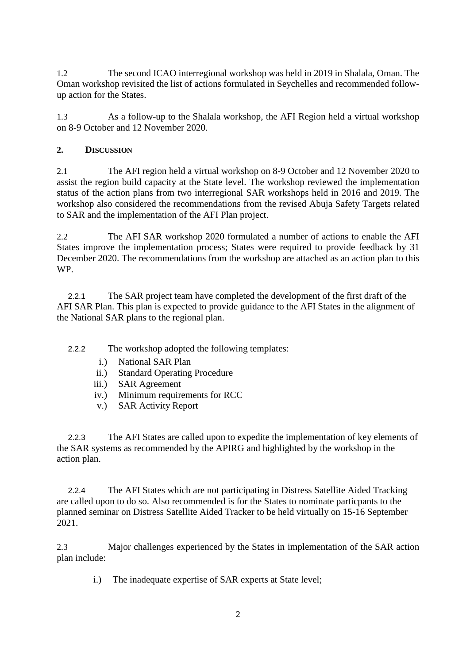1.2 The second ICAO interregional workshop was held in 2019 in Shalala, Oman. The Oman workshop revisited the list of actions formulated in Seychelles and recommended followup action for the States.

1.3 As a follow-up to the Shalala workshop, the AFI Region held a virtual workshop on 8-9 October and 12 November 2020.

# **2. DISCUSSION**

2.1 The AFI region held a virtual workshop on 8-9 October and 12 November 2020 to assist the region build capacity at the State level. The workshop reviewed the implementation status of the action plans from two interregional SAR workshops held in 2016 and 2019. The workshop also considered the recommendations from the revised Abuja Safety Targets related to SAR and the implementation of the AFI Plan project.

2.2 The AFI SAR workshop 2020 formulated a number of actions to enable the AFI States improve the implementation process; States were required to provide feedback by 31 December 2020. The recommendations from the workshop are attached as an action plan to this WP.

2.2.1 The SAR project team have completed the development of the first draft of the AFI SAR Plan. This plan is expected to provide guidance to the AFI States in the alignment of the National SAR plans to the regional plan.

2.2.2 The workshop adopted the following templates:

- i.) National SAR Plan
- ii.) Standard Operating Procedure
- iii.) SAR Agreement
- iv.) Minimum requirements for RCC
- v.) SAR Activity Report

2.2.3 The AFI States are called upon to expedite the implementation of key elements of the SAR systems as recommended by the APIRG and highlighted by the workshop in the action plan.

2.2.4 The AFI States which are not participating in Distress Satellite Aided Tracking are called upon to do so. Also recommended is for the States to nominate particpants to the planned seminar on Distress Satellite Aided Tracker to be held virtually on 15-16 September 2021.

2.3 Major challenges experienced by the States in implementation of the SAR action plan include:

i.) The inadequate expertise of SAR experts at State level;